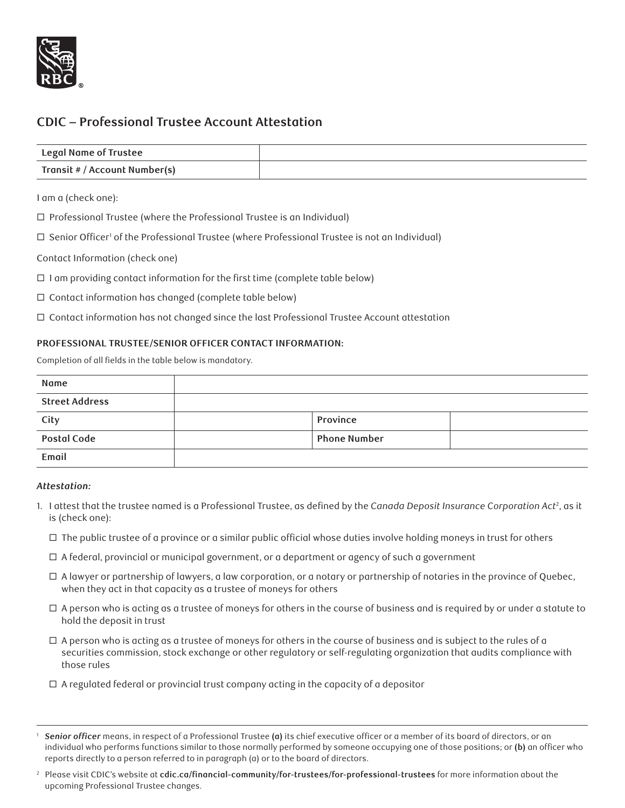

# **CDIC – Professional Trustee Account Attestation**

| <b>Legal Name of Trustee</b>  |  |
|-------------------------------|--|
| Transit # / Account Number(s) |  |

I am a (check one):

 $\Box$  Professional Trustee (where the Professional Trustee is an Individual)

 $\Box$  Senior Officer' of the Professional Trustee (where Professional Trustee is not an Individual)

## Contact Information (check one)

 $\Box$  I am providing contact information for the first time (complete table below)

 $\Box$  Contact information has changed (complete table below)

 $\Box$  Contact information has not changed since the last Professional Trustee Account attestation

## **PROFESSIONAL TRUSTEE/SENIOR OFFICER CONTACT INFORMATION:**

Completion of all fields in the table below is mandatory.

| Name                  |                     |  |
|-----------------------|---------------------|--|
| <b>Street Address</b> |                     |  |
| City                  | Province            |  |
| <b>Postal Code</b>    | <b>Phone Number</b> |  |
| Email                 |                     |  |

#### *Attestation:*

- 1. I attest that the trustee named is a Professional Trustee, as defined by the *Canada Deposit Insurance Corporation Act*<sup>2</sup> , as it is (check one):
	- $\Box$  The public trustee of a province or a similar public official whose duties involve holding moneys in trust for others
	- $\Box$  A federal, provincial or municipal government, or a department or agency of such a government
	- $\Box$  A lawyer or partnership of lawyers, a law corporation, or a notary or partnership of notaries in the province of Quebec, when they act in that capacity as a trustee of moneys for others
	- $\Box$  A person who is acting as a trustee of moneys for others in the course of business and is required by or under a statute to hold the deposit in trust
	- $\Box$  A person who is acting as a trustee of moneys for others in the course of business and is subject to the rules of a securities commission, stock exchange or other regulatory or self-regulating organization that audits compliance with those rules
	- $\Box$  A regulated federal or provincial trust company acting in the capacity of a depositor

<sup>1</sup> *Senior officer* means, in respect of a Professional Trustee **(a)** its chief executive officer or a member of its board of directors, or an individual who performs functions similar to those normally performed by someone occupying one of those positions; or **(b)** an officer who reports directly to a person referred to in paragraph (a) or to the board of directors.

<sup>2</sup> Please visit CDIC's website at **cdic.ca/financial-community/for-trustees/for-professional-trustees** for more information about the upcoming Professional Trustee changes.